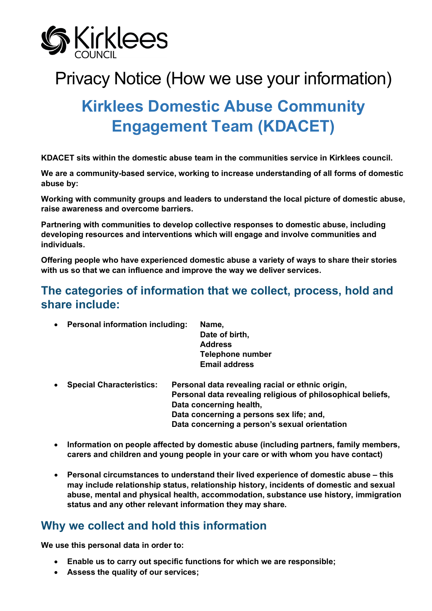

# Privacy Notice (How we use your information)

# **Kirklees Domestic Abuse Community Engagement Team (KDACET)**

**KDACET sits within the domestic abuse team in the communities service in Kirklees council.**

**We are a community-based service, working to increase understanding of all forms of domestic abuse by:** 

**Working with community groups and leaders to understand the local picture of domestic abuse, raise awareness and overcome barriers.** 

**Partnering with communities to develop collective responses to domestic abuse, including developing resources and interventions which will engage and involve communities and individuals.** 

**Offering people who have experienced domestic abuse a variety of ways to share their stories with us so that we can influence and improve the way we deliver services.**

# **The categories of information that we collect, process, hold and share include:**

| $\bullet$ | <b>Personal information including:</b> | Name,                                                                                                     |  |  |
|-----------|----------------------------------------|-----------------------------------------------------------------------------------------------------------|--|--|
|           |                                        | Date of birth,                                                                                            |  |  |
|           |                                        | <b>Address</b>                                                                                            |  |  |
|           |                                        | <b>Telephone number</b>                                                                                   |  |  |
|           |                                        | <b>Email address</b>                                                                                      |  |  |
| $\bullet$ | <b>Special Characteristics:</b>        | Personal data revealing racial or ethnic origin,<br>Personal data revealing religious of philosophical be |  |  |

- **Personal data revealing religious of philosophical beliefs, Data concerning health, Data concerning a persons sex life; and, Data concerning a person's sexual orientation**
- **Information on people affected by domestic abuse (including partners, family members, carers and children and young people in your care or with whom you have contact)**
- **Personal circumstances to understand their lived experience of domestic abuse – this may include relationship status, relationship history, incidents of domestic and sexual abuse, mental and physical health, accommodation, substance use history, immigration status and any other relevant information they may share.**

# **Why we collect and hold this information**

**We use this personal data in order to:**

- **Enable us to carry out specific functions for which we are responsible;**
- **Assess the quality of our services;**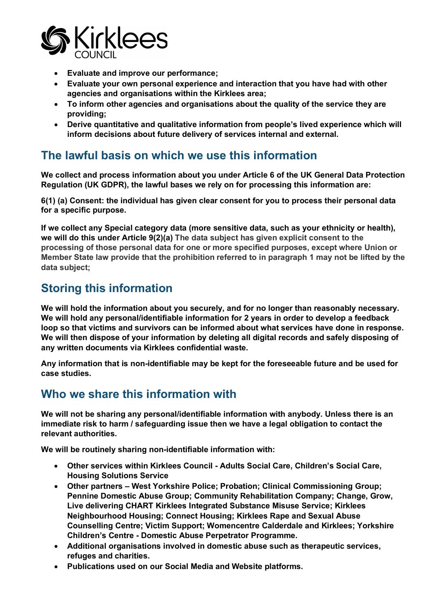

- **Evaluate and improve our performance;**
- **Evaluate your own personal experience and interaction that you have had with other agencies and organisations within the Kirklees area;**
- **To inform other agencies and organisations about the quality of the service they are providing;**
- **Derive quantitative and qualitative information from people's lived experience which will inform decisions about future delivery of services internal and external.**

# **The lawful basis on which we use this information**

**We collect and process information about you under Article 6 of the UK General Data Protection Regulation (UK GDPR), the lawful bases we rely on for processing this information are:**

**6(1) (a) Consent: the individual has given clear consent for you to process their personal data for a specific purpose.**

**If we collect any Special category data (more sensitive data, such as your ethnicity or health), we will do this under Article 9(2)(a) The data subject has given explicit consent to the processing of those personal data for one or more specified purposes, except where Union or Member State law provide that the prohibition referred to in paragraph 1 may not be lifted by the data subject;**

# **Storing this information**

**We will hold the information about you securely, and for no longer than reasonably necessary. We will hold any personal/identifiable information for 2 years in order to develop a feedback loop so that victims and survivors can be informed about what services have done in response. We will then dispose of your information by deleting all digital records and safely disposing of any written documents via Kirklees confidential waste.**

**Any information that is non-identifiable may be kept for the foreseeable future and be used for case studies.** 

# **Who we share this information with**

**We will not be sharing any personal/identifiable information with anybody. Unless there is an immediate risk to harm / safeguarding issue then we have a legal obligation to contact the relevant authorities.** 

**We will be routinely sharing non-identifiable information with:**

- **Other services within Kirklees Council - Adults Social Care, Children's Social Care, Housing Solutions Service**
- **Other partners – West Yorkshire Police; Probation; Clinical Commissioning Group; Pennine Domestic Abuse Group; Community Rehabilitation Company; Change, Grow, Live delivering CHART Kirklees Integrated Substance Misuse Service; Kirklees Neighbourhood Housing; Connect Housing; Kirklees Rape and Sexual Abuse Counselling Centre; Victim Support; Womencentre Calderdale and Kirklees; Yorkshire Children's Centre - Domestic Abuse Perpetrator Programme.**
- **Additional organisations involved in domestic abuse such as therapeutic services, refuges and charities.**
- **Publications used on our Social Media and Website platforms.**